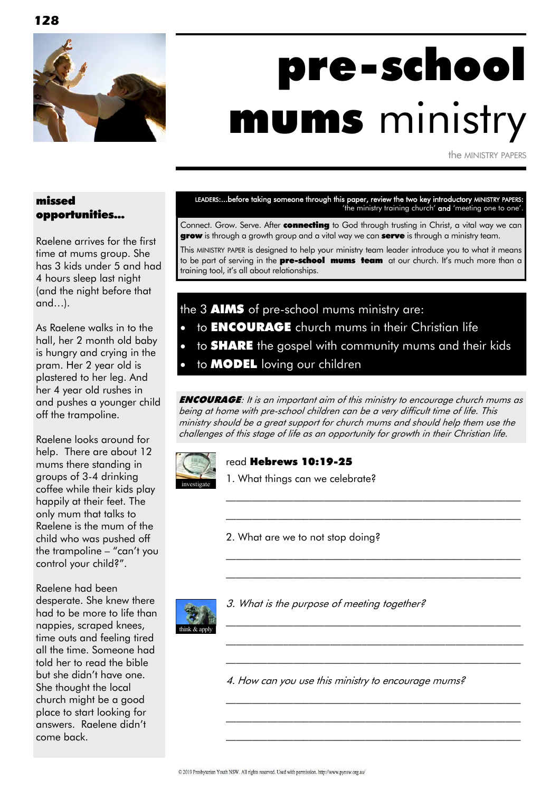

# pre-school mums ministry

the MINISTRY PAPERS

#### missed opportunities...

Raelene arrives for the first time at mums group. She has 3 kids under 5 and had 4 hours sleep last night (and the night before that and…).

As Raelene walks in to the hall, her 2 month old baby is hungry and crying in the pram. Her 2 year old is plastered to her leg. And her 4 year old rushes in and pushes a younger child off the trampoline.

Raelene looks around for help. There are about 12 mums there standing in groups of 3-4 drinking coffee while their kids play happily at their feet. The only mum that talks to Raelene is the mum of the child who was pushed off the trampoline – "can't you control your child?".

Raelene had been desperate. She knew there had to be more to life than nappies, scraped knees, time outs and feeling tired all the time. Someone had told her to read the bible but she didn't have one. She thought the local church might be a good place to start looking for answers. Raelene didn't come back.

LEADERS:...before taking someone through this paper, review the two key introductory MINISTRY PAPERS: 'the ministry training church' and 'meeting one to one'.

Connect. Grow. Serve. After **connecting** to God through trusting in Christ, a vital way we can **grow** is through a growth group and a vital way we can **serve** is through a ministry team.

This MINISTRY PAPER is designed to help your ministry team leader introduce you to what it means to be part of serving in the **pre-school mums team** at our church. It's much more than a training tool, it's all about relationships.

the 3 **AIMS** of pre-school mums ministry are: to ENCOURAGE church mums in their Christian life to **SHARE** the gospel with community mums and their kids to **MODEL** loving our children

**ENCOURAGE:** It is an important aim of this ministry to encourage church mums as being at home with pre-school children can be a very difficult time of life. This ministry should be a great support for church mums and should help them use the challenges of this stage of life as an opportunity for growth in their Christian life.

> \_\_\_\_\_\_\_\_\_\_\_\_\_\_\_\_\_\_\_\_\_\_\_\_\_\_\_\_\_\_\_\_\_\_\_\_\_\_\_\_\_\_\_\_\_\_\_\_\_\_\_\_\_\_\_\_\_ \_\_\_\_\_\_\_\_\_\_\_\_\_\_\_\_\_\_\_\_\_\_\_\_\_\_\_\_\_\_\_\_\_\_\_\_\_\_\_\_\_\_\_\_\_\_\_\_\_\_\_\_\_\_\_\_\_

> $\mathcal{L}_\text{max}$  and the contract of the contract of the contract of the contract of the contract of the contract of \_\_\_\_\_\_\_\_\_\_\_\_\_\_\_\_\_\_\_\_\_\_\_\_\_\_\_\_\_\_\_\_\_\_\_\_\_\_\_\_\_\_\_\_\_\_\_\_\_\_\_\_\_\_\_\_\_

> $\mathcal{L}_\text{max}$  and the contract of the contract of the contract of the contract of the contract of the contract of \_\_\_\_\_\_\_\_\_\_\_\_\_\_\_\_\_\_\_\_\_\_\_\_\_\_\_\_\_\_\_\_\_\_\_\_\_\_\_\_\_\_\_\_\_\_\_\_\_\_\_\_\_\_\_\_\_ \_\_\_\_\_\_\_\_\_\_\_\_\_\_\_\_\_\_\_\_\_\_\_\_\_\_\_\_\_\_\_\_\_\_\_\_\_\_\_\_\_\_\_\_\_\_\_\_\_\_\_\_\_\_\_\_\_

> $\mathcal{L}_\text{max}$  and the contract of the contract of the contract of the contract of the contract of the contract of \_\_\_\_\_\_\_\_\_\_\_\_\_\_\_\_\_\_\_\_\_\_\_\_\_\_\_\_\_\_\_\_\_\_\_\_\_\_\_\_\_\_\_\_\_\_\_\_\_\_\_\_\_\_\_\_\_ \_\_\_\_\_\_\_\_\_\_\_\_\_\_\_\_\_\_\_\_\_\_\_\_\_\_\_\_\_\_\_\_\_\_\_\_\_\_\_\_\_\_\_\_\_\_\_\_\_\_\_\_\_\_\_\_\_



#### read Hebrews 10:19-25

1. What things can we celebrate?

2. What are we to not stop doing?



3. What is the purpose of meeting together?

think & apply

4. How can you use this ministry to encourage mums?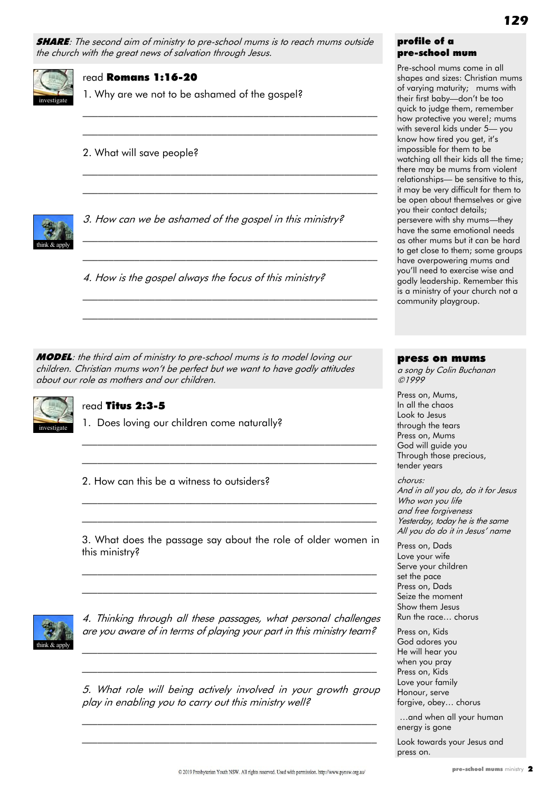**SHARE:** The second aim of ministry to pre-school mums is to reach mums outside the church with the great news of salvation through Jesus.

> $\mathcal{L}_\text{max}$  and the contract of the contract of the contract of the contract of the contract of the contract of  $\mathcal{L}_\text{max}$  and the contract of the contract of the contract of the contract of the contract of the contract of

> \_\_\_\_\_\_\_\_\_\_\_\_\_\_\_\_\_\_\_\_\_\_\_\_\_\_\_\_\_\_\_\_\_\_\_\_\_\_\_\_\_\_\_\_\_\_\_\_\_\_\_\_\_\_\_\_\_ \_\_\_\_\_\_\_\_\_\_\_\_\_\_\_\_\_\_\_\_\_\_\_\_\_\_\_\_\_\_\_\_\_\_\_\_\_\_\_\_\_\_\_\_\_\_\_\_\_\_\_\_\_\_\_\_\_

> \_\_\_\_\_\_\_\_\_\_\_\_\_\_\_\_\_\_\_\_\_\_\_\_\_\_\_\_\_\_\_\_\_\_\_\_\_\_\_\_\_\_\_\_\_\_\_\_\_\_\_\_\_\_\_\_\_  $\mathcal{L}_\text{max}$  and the contract of the contract of the contract of the contract of the contract of the contract of

> \_\_\_\_\_\_\_\_\_\_\_\_\_\_\_\_\_\_\_\_\_\_\_\_\_\_\_\_\_\_\_\_\_\_\_\_\_\_\_\_\_\_\_\_\_\_\_\_\_\_\_\_\_\_\_\_\_ \_\_\_\_\_\_\_\_\_\_\_\_\_\_\_\_\_\_\_\_\_\_\_\_\_\_\_\_\_\_\_\_\_\_\_\_\_\_\_\_\_\_\_\_\_\_\_\_\_\_\_\_\_\_\_\_\_



#### read Romans 1:16-20

1. Why are we not to be ashamed of the gospel?

#### 2. What will save people?



3. How can we be ashamed of the gospel in this ministry?

4. How is the gospel always the focus of this ministry?

**MODEL:** the third aim of ministry to pre-school mums is to model loving our children. Christian mums won't be perfect but we want to have godly attitudes about our role as mothers and our children.



#### read Titus 2:3-5

1. Does loving our children come naturally?

2. How can this be a witness to outsiders?

3. What does the passage say about the role of older women in this ministry?

 $\mathcal{L}_\text{max}$  and the contract of the contract of the contract of the contract of the contract of the contract of \_\_\_\_\_\_\_\_\_\_\_\_\_\_\_\_\_\_\_\_\_\_\_\_\_\_\_\_\_\_\_\_\_\_\_\_\_\_\_\_\_\_\_\_\_\_\_\_\_\_\_\_\_\_\_\_\_

\_\_\_\_\_\_\_\_\_\_\_\_\_\_\_\_\_\_\_\_\_\_\_\_\_\_\_\_\_\_\_\_\_\_\_\_\_\_\_\_\_\_\_\_\_\_\_\_\_\_\_\_\_\_\_\_\_  $\mathcal{L}_\text{max}$  and the contract of the contract of the contract of the contract of the contract of the contract of

 $\mathcal{L}_\text{max}$  and the contract of the contract of the contract of the contract of the contract of the contract of  $\mathcal{L}_\text{max}$  and the contract of the contract of the contract of the contract of the contract of the contract of



4. Thinking through all these passages, what personal challenges are you aware of in terms of playing your part in this ministry team?

\_\_\_\_\_\_\_\_\_\_\_\_\_\_\_\_\_\_\_\_\_\_\_\_\_\_\_\_\_\_\_\_\_\_\_\_\_\_\_\_\_\_\_\_\_\_\_\_\_\_\_\_\_\_\_\_\_ \_\_\_\_\_\_\_\_\_\_\_\_\_\_\_\_\_\_\_\_\_\_\_\_\_\_\_\_\_\_\_\_\_\_\_\_\_\_\_\_\_\_\_\_\_\_\_\_\_\_\_\_\_\_\_\_\_

5. What role will being actively involved in your growth group play in enabling you to carry out this ministry well?

 $\mathcal{L}_\text{max}$  and the contract of the contract of the contract of the contract of the contract of the contract of  $\mathcal{L}_\text{max}$  and the contract of the contract of the contract of the contract of the contract of the contract of

#### profile of a pre-school mum

Pre-school mums come in all shapes and sizes: Christian mums of varying maturity; mums with their first baby—don't be too quick to judge them, remember how protective you were!; mums with several kids under 5— you know how tired you get, it's impossible for them to be watching all their kids all the time; there may be mums from violent relationships— be sensitive to this, it may be very difficult for them to be open about themselves or give you their contact details; persevere with shy mums—they have the same emotional needs as other mums but it can be hard to get close to them; some groups have overpowering mums and you'll need to exercise wise and godly leadership. Remember this is a ministry of your church not a community playgroup.

#### press on mums

a song by Colin Buchanan ©1999

Press on, Mums, In all the chaos Look to Jesus through the tears Press on, Mums God will guide you Through those precious, tender years

#### chorus:

And in all you do, do it for Jesus Who won you life and free forgiveness Yesterday, today he is the same All you do do it in Jesus' name

Press on, Dads Love your wife Serve your children set the pace Press on, Dads Seize the moment Show them Jesus Run the race… chorus

Press on, Kids God adores you He will hear you when you pray Press on, Kids Love your family Honour, serve forgive, obey… chorus

…and when all your human energy is gone

Look towards your Jesus and press on.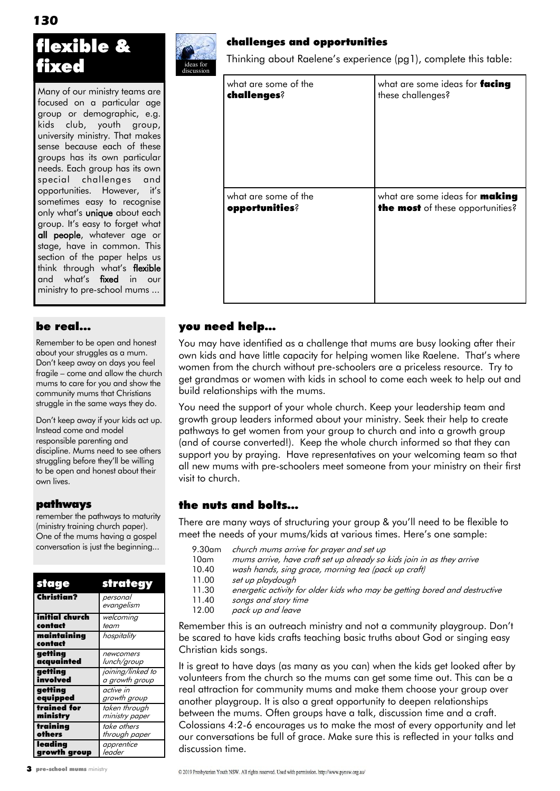### flexible & fixed

Many of our ministry teams are focused on a particular age group or demographic, e.g. kids club, youth group, university ministry. That makes sense because each of these groups has its own particular needs. Each group has its own special challenges and opportunities. However, it's sometimes easy to recognise only what's **unique** about each group. It's easy to forget what all people, whatever age or stage, have in common. This section of the paper helps us think through what's flexible and what's fixed in our ministry to pre-school mums ...

#### be real...

Remember to be open and honest about your struggles as a mum. Don't keep away on days you feel fragile – come and allow the church mums to care for you and show the community mums that Christians struggle in the same ways they do.

Don't keep away if your kids act up. Instead come and model responsible parenting and discipline. Mums need to see others struggling before they'll be willing to be open and honest about their own lives.

#### pathways

remember the pathways to maturity (ministry training church paper). One of the mums having a gospel conversation is just the beginning...

| stage                  | strategy               |
|------------------------|------------------------|
| Christian?             | personal<br>evangelism |
| initial church         | welcoming              |
| contact                | team                   |
| maintainina<br>contact | hospitality            |
| getting                | newcomers              |
| acquainted             | lunch/group            |
| getting                | joining/linked to      |
| involved               | a growth group         |
| getting                | active in              |
| equipped               | growth group           |
| trained for            | taken through          |
| ministry               | ministry paper         |
| training               | take others            |
| others                 | through paper          |
| leading                | apprentice             |
| growth group           | leader                 |



#### challenges and opportunities

Thinking about Raelene's experience (pg1), complete this table:

| what are some of the<br>challenges?    | what are some ideas for facing<br>these challenges?                              |
|----------------------------------------|----------------------------------------------------------------------------------|
|                                        |                                                                                  |
|                                        |                                                                                  |
| what are some of the<br>opportunities? | what are some ideas for <b>making</b><br><b>the most</b> of these opportunities? |
|                                        |                                                                                  |
|                                        |                                                                                  |
|                                        |                                                                                  |

#### you need help…

You may have identified as a challenge that mums are busy looking after their own kids and have little capacity for helping women like Raelene. That's where women from the church without pre-schoolers are a priceless resource. Try to get grandmas or women with kids in school to come each week to help out and build relationships with the mums.

You need the support of your whole church. Keep your leadership team and growth group leaders informed about your ministry. Seek their help to create pathways to get women from your group to church and into a growth group (and of course converted!). Keep the whole church informed so that they can support you by praying. Have representatives on your welcoming team so that all new mums with pre-schoolers meet someone from your ministry on their first visit to church.

#### the nuts and bolts…

There are many ways of structuring your group & you'll need to be flexible to meet the needs of your mums/kids at various times. Here's one sample:

- 9.30am church mums arrive for prayer and set up
- 10am mums arrive, have craft set up already so kids join in as they arrive<br>10.40 wash hands, sing grace, morning tea (pack up craft)
	- wash hands, sing grace, morning tea (pack up craft)
- 11.00 set up playdough
- 11.30 energetic activity for older kids who may be getting bored and destructive
- 11.40 songs and story time
- 12.00 pack up and leave

Remember this is an outreach ministry and not a community playgroup. Don't be scared to have kids crafts teaching basic truths about God or singing easy Christian kids songs.

It is great to have days (as many as you can) when the kids get looked after by volunteers from the church so the mums can get some time out. This can be a real attraction for community mums and make them choose your group over another playgroup. It is also a great opportunity to deepen relationships between the mums. Often groups have a talk, discussion time and a craft. Colossians 4:2-6 encourages us to make the most of every opportunity and let our conversations be full of grace. Make sure this is reflected in your talks and discussion time.